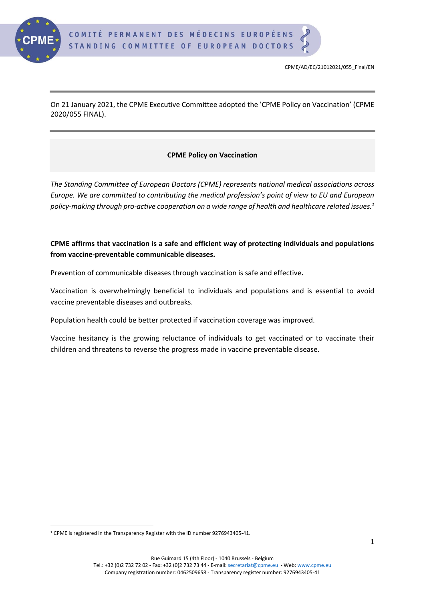

On 21 January 2021, the CPME Executive Committee adopted the 'CPME Policy on Vaccination' (CPME 2020/055 FINAL).

# **CPME Policy on Vaccination**

*The Standing Committee of European Doctors (CPME) represents national medical associations across Europe. We are committed to contributing the medical profession's point of view to EU and European policy-making through pro-active cooperation on a wide range of health and healthcare related issues. 1*

# **CPME affirms that vaccination is a safe and efficient way of protecting individuals and populations from vaccine-preventable communicable diseases.**

Prevention of communicable diseases through vaccination is safe and effective**.** 

Vaccination is overwhelmingly beneficial to individuals and populations and is essential to avoid vaccine preventable diseases and outbreaks.

Population health could be better protected if vaccination coverage was improved.

Vaccine hesitancy is the growing reluctance of individuals to get vaccinated or to vaccinate their children and threatens to reverse the progress made in vaccine preventable disease.

<sup>1</sup> CPME is registered in the Transparency Register with the ID number 9276943405-41.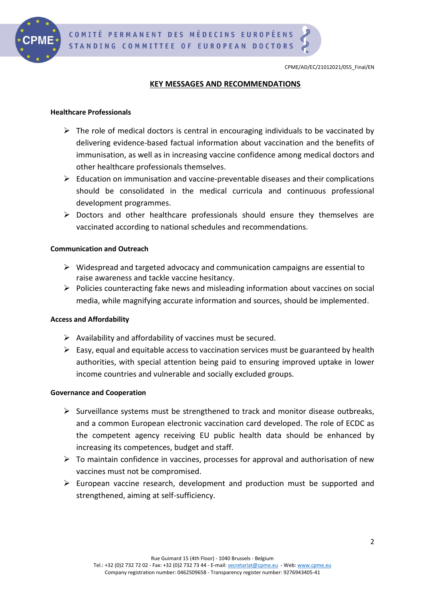

# **KEY MESSAGES AND RECOMMENDATIONS**

## **Healthcare Professionals**

- $\triangleright$  The role of medical doctors is central in encouraging individuals to be vaccinated by delivering evidence-based factual information about vaccination and the benefits of immunisation, as well as in increasing vaccine confidence among medical doctors and other healthcare professionals themselves.
- ➢ Education on immunisation and vaccine-preventable diseases and their complications should be consolidated in the medical curricula and continuous professional development programmes.
- ➢ Doctors and other healthcare professionals should ensure they themselves are vaccinated according to national schedules and recommendations.

# **Communication and Outreach**

- $\triangleright$  Widespread and targeted advocacy and communication campaigns are essential to raise awareness and tackle vaccine hesitancy.
- $\triangleright$  Policies counteracting fake news and misleading information about vaccines on social media, while magnifying accurate information and sources, should be implemented.

## **Access and Affordability**

- $\triangleright$  Availability and affordability of vaccines must be secured.
- $\triangleright$  Easy, equal and equitable access to vaccination services must be guaranteed by health authorities, with special attention being paid to ensuring improved uptake in lower income countries and vulnerable and socially excluded groups.

## **Governance and Cooperation**

- $\triangleright$  Surveillance systems must be strengthened to track and monitor disease outbreaks, and a common European electronic vaccination card developed. The role of ECDC as the competent agency receiving EU public health data should be enhanced by increasing its competences, budget and staff.
- $\triangleright$  To maintain confidence in vaccines, processes for approval and authorisation of new vaccines must not be compromised.
- ➢ European vaccine research, development and production must be supported and strengthened, aiming at self-sufficiency.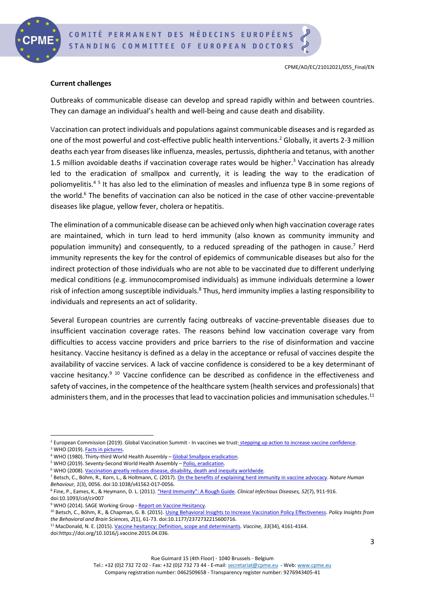

# **Current challenges**

Outbreaks of communicable disease can develop and spread rapidly within and between countries. They can damage an individual's health and well-being and cause death and disability.

Vaccination can protect individuals and populations against communicable diseases and is regarded as one of the most powerful and cost-effective public health interventions.<sup>2</sup> Globally, it averts 2-3 million deaths each year from diseases like influenza, measles, pertussis, diphtheria and tetanus, with another 1.5 million avoidable deaths if vaccination coverage rates would be higher. <sup>3</sup> Vaccination has already led to the eradication of smallpox and currently, it is leading the way to the eradication of poliomyelitis.<sup>45</sup> It has also led to the elimination of measles and influenza type B in some regions of the world.<sup>6</sup> The benefits of vaccination can also be noticed in the case of other vaccine-preventable diseases like plague, yellow fever, cholera or hepatitis.

The elimination of a communicable disease can be achieved only when high vaccination coverage rates are maintained, which in turn lead to herd immunity (also known as community immunity and population immunity) and consequently, to a reduced spreading of the pathogen in cause.<sup>7</sup> Herd immunity represents the key for the control of epidemics of communicable diseases but also for the indirect protection of those individuals who are not able to be vaccinated due to different underlying medical conditions (e.g. immunocompromised individuals) as immune individuals determine a lower risk of infection among susceptible individuals.<sup>8</sup> Thus, herd immunity implies a lasting responsibility to individuals and represents an act of solidarity.

Several European countries are currently facing outbreaks of vaccine-preventable diseases due to insufficient vaccination coverage rates. The reasons behind low vaccination coverage vary from difficulties to access vaccine providers and price barriers to the rise of disinformation and vaccine hesitancy. Vaccine hesitancy is defined as a delay in the acceptance or refusal of vaccines despite the availability of vaccine services. A lack of vaccine confidence is considered to be a key determinant of vaccine hesitancy.<sup>9 10</sup> Vaccine confidence can be described as confidence in the effectiveness and safety of vaccines, in the competence of the healthcare system (health services and professionals) that administers them, and in the processes that lead to vaccination policies and immunisation schedules.<sup>11</sup>

<sup>11</sup> MacDonald, N. E. (2015)[. Vaccine hesitancy: Definition, scope and determinants.](https://www.sciencedirect.com/science/article/pii/S0264410X15005009?via%3Dihub) *Vaccine, 33*(34), 4161-4164. doi:https://doi.org/10.1016/j.vaccine.2015.04.036.

<sup>&</sup>lt;sup>2</sup> European Commission (2019). Global Vaccination Summit - In vaccines we trust: stepping up action to increase vaccine confidence.

<sup>&</sup>lt;sup>3</sup> WHO (2019). **Facts in pictures**.

<sup>&</sup>lt;sup>4</sup> WHO (1980). Thirty-third World Health Assembly - [Global Smallpox eradication.](https://apps.who.int/iris/bitstream/handle/10665/155529/WHA33_R4_eng.pdf?sequence=1&isAllowed=y)

<sup>&</sup>lt;sup>5</sup> WHO (2019). Seventy-Second World Health Assembly - [Polio, eradication.](http://polioeradication.org/wp-content/uploads/2016/07/72-WHA-DG-report.pdf)

<sup>&</sup>lt;sup>6</sup> WHO (2008)[. Vaccination greatly reduces disease, disability, death and inequity worldwide.](https://www.who.int/bulletin/volumes/86/2/07-040089/en/)

<sup>7</sup> Betsch, C., Böhm, R., Korn, L., & Holtmann, C. (2017)[. On the benefits of explaining herd immunity in vaccine advocacy.](https://www.nature.com/articles/s41562-017-0056/) *Nature Human Behaviour, 1*(3), 0056. doi:10.1038/s41562-017-0056.

<sup>8</sup> Fine, P., Eames, K., & Heymann, D. L. (2011). ["Herd Immunity": A Rough Guide](https://academic.oup.com/cid/article/52/7/911/299077). *Clinical Infectious Diseases, 52*(7), 911-916. doi:10.1093/cid/cir007

<sup>&</sup>lt;sup>9</sup> WHO (2014). SAGE Working Group - [Report on Vaccine Hesitancy.](https://www.who.int/immunization/sage/meetings/2014/october/1_Report_WORKING_GROUP_vaccine_hesitancy_final.pdf)

<sup>10</sup> Betsch, C., Böhm, R., & Chapman, G. B. (2015). [Using Behavioral Insights to Increase Vaccination Policy Effectiveness.](https://journals.sagepub.com/doi/abs/10.1177/2372732215600716) *Policy Insights from the Behavioral and Brain Sciences, 2*(1), 61-73. doi:10.1177/2372732215600716.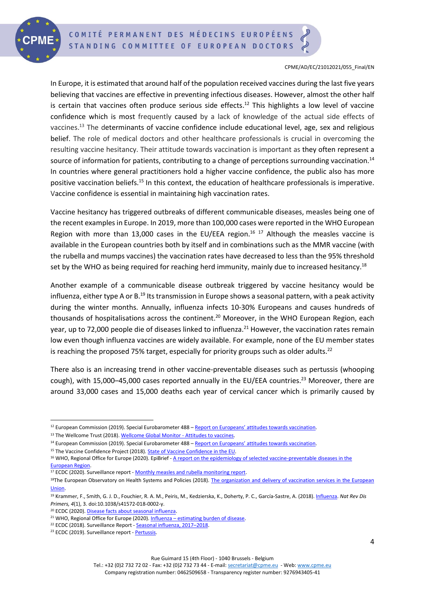

In Europe, it is estimated that around half of the population received vaccines during the last five years believing that vaccines are effective in preventing infectious diseases. However, almost the other half is certain that vaccines often produce serious side effects. <sup>12</sup> This highlights a low level of vaccine confidence which is most frequently caused by a lack of knowledge of the actual side effects of vaccines. <sup>13</sup> The determinants of vaccine confidence include educational level, age, sex and religious belief. The role of medical doctors and other healthcare professionals is crucial in overcoming the resulting vaccine hesitancy. Their attitude towards vaccination is important as they often represent a source of information for patients, contributing to a change of perceptions surrounding vaccination.<sup>14</sup> In countries where general practitioners hold a higher vaccine confidence, the public also has more positive vaccination beliefs.<sup>15</sup> In this context, the education of healthcare professionals is imperative. Vaccine confidence is essential in maintaining high vaccination rates.

Vaccine hesitancy has triggered outbreaks of different communicable diseases, measles being one of the recent examples in Europe. In 2019, more than 100,000 cases were reported in the WHO European Region with more than 13,000 cases in the EU/EEA region.<sup>16 17</sup> Although the measles vaccine is available in the European countries both by itself and in combinations such as the MMR vaccine (with the rubella and mumps vaccines) the vaccination rates have decreased to less than the 95% threshold set by the WHO as being required for reaching herd immunity, mainly due to increased hesitancy.<sup>18</sup>

Another example of a communicable disease outbreak triggered by vaccine hesitancy would be influenza, either type A or B.<sup>19</sup> Its transmission in Europe shows a seasonal pattern, with a peak activity during the winter months. Annually, influenza infects 10-30% Europeans and causes hundreds of thousands of hospitalisations across the continent. <sup>20</sup> Moreover, in the WHO European Region, each year, up to 72,000 people die of diseases linked to influenza.<sup>21</sup> However, the vaccination rates remain low even though influenza vaccines are widely available. For example, none of the EU member states is reaching the proposed 75% target, especially for priority groups such as older adults.<sup>22</sup>

There also is an increasing trend in other vaccine-preventable diseases such as pertussis (whooping cough), with 15,000–45,000 cases reported annually in the EU/EEA countries.<sup>23</sup> Moreover, there are around 33,000 cases and 15,000 deaths each year of cervical cancer which is primarily caused by

<sup>12</sup> European Commission (2019). Special Eurobarometer 488 – [Report on Europeans' attitudes towards vaccination](https://ec.europa.eu/health/sites/health/files/vaccination/docs/20190426_special-eurobarometer-sp488_en.pdf).

<sup>&</sup>lt;sup>13</sup> The Wellcome Trust (2018)[. Wellcome Global Monitor -](https://wellcome.org/reports/wellcome-global-monitor/2018/chapter-5-attitudes-vaccines) Attitudes to vaccines.

<sup>&</sup>lt;sup>14</sup> European Commission (2019). Special Eurobarometer 488 – [Report on Europeans' attitudes towards vaccination](https://ec.europa.eu/health/sites/health/files/vaccination/docs/20190426_special-eurobarometer-sp488_en.pdf).

<sup>&</sup>lt;sup>15</sup> The Vaccine Confidence Project (2018)[. State of Vaccine Confidence in the EU.](https://static1.squarespace.com/static/5d4d746d648a4e0001186e38/t/5da9a66cda5d5c5fdd6d5816/1571399327071/2018_vaccine_confidence_en.pdf)

<sup>&</sup>lt;sup>16</sup> WHO, Regional Office for Europe (2020). EpiBrief - A report on the epidemiology of selected vaccine-preventable diseases in the [European Region.](http://www.euro.who.int/__data/assets/pdf_file/0006/431745/EpiBrief_1_2020_EN.pdf?ua=1)

<sup>&</sup>lt;sup>17</sup> ECDC (2020). Surveillance report - [Monthly measles and rubella monitoring report.](https://www.ecdc.europa.eu/sites/default/files/documents/measles-rubella-monthly-report-february-2020.pdf)

<sup>18</sup>The European Observatory on Health Systems and Policies (2018). The organization and delivery of vaccination services in the European [Union.](https://ec.europa.eu/health/sites/health/files/vaccination/docs/2018_vaccine_services_en.pdf)

<sup>19</sup> Krammer, F., Smith, G. J. D., Fouchier, R. A. M., Peiris, M., Kedzierska, K., Doherty, P. C., García-Sastre, A. (2018)[. Influenza.](https://www.ncbi.nlm.nih.gov/pmc/articles/PMC7097467/) *Nat Rev Dis Primers, 4*(1), 3. doi:10.1038/s41572-018-0002-y.

<sup>&</sup>lt;sup>20</sup> ECDC (2020). [Disease facts about seasonal influenza.](https://www.ecdc.europa.eu/en/seasonal-influenza/facts)

 $21$  WHO, Regional Office for Europe (2020). Influenza – [estimating burden of disease.](https://www.euro.who.int/en/health-topics/communicable-diseases/influenza/seasonal-influenza/burden-of-influenza)

<sup>&</sup>lt;sup>22</sup> ECDC (2018). Surveillance Report - [Seasonal influenza, 2017](https://www.ecdc.europa.eu/sites/default/files/documents/AER_for_2017-seasonal-influenza.pdf)-2018.

<sup>&</sup>lt;sup>23</sup> ECDC (2019). Surveillance report - [Pertussis.](https://www.ecdc.europa.eu/sites/default/files/documents/AER_for_2017-pertussis.pdf)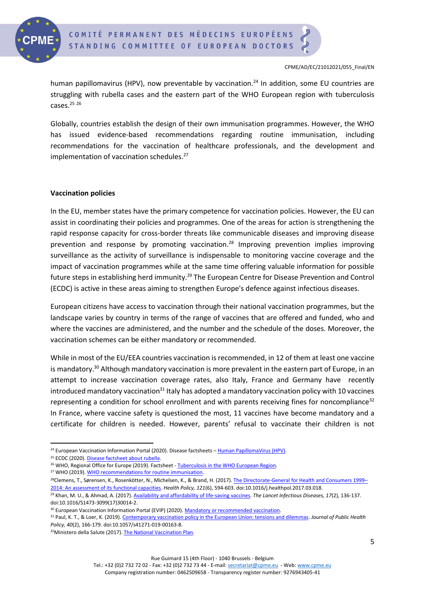

human papillomavirus (HPV), now preventable by vaccination.<sup>24</sup> In addition, some EU countries are struggling with rubella cases and the eastern part of the WHO European region with tuberculosis cases. 25 26

Globally, countries establish the design of their own immunisation programmes. However, the WHO has issued evidence-based recommendations regarding routine immunisation, including recommendations for the vaccination of healthcare professionals, and the development and implementation of vaccination schedules. 27

### **Vaccination policies**

In the EU, member states have the primary competence for vaccination policies. However, the EU can assist in coordinating their policies and programmes. One of the areas for action is strengthening the rapid response capacity for cross-border threats like communicable diseases and improving disease prevention and response by promoting vaccination.<sup>28</sup> Improving prevention implies improving surveillance as the activity of surveillance is indispensable to monitoring vaccine coverage and the impact of vaccination programmes while at the same time offering valuable information for possible future steps in establishing herd immunity.<sup>29</sup> The European Centre for Disease Prevention and Control (ECDC) is active in these areas aiming to strengthen Europe's defence against infectious diseases.

European citizens have access to vaccination through their national vaccination programmes, but the landscape varies by country in terms of the range of vaccines that are offered and funded, who and where the vaccines are administered, and the number and the schedule of the doses. Moreover, the vaccination schemes can be either mandatory or recommended.

While in most of the EU/EEA countries vaccination is recommended, in 12 of them at least one vaccine is mandatory.<sup>30</sup> Although mandatory vaccination is more prevalent in the eastern part of Europe, in an attempt to increase vaccination coverage rates, also Italy, France and Germany have recently introduced mandatory vaccination<sup>31</sup> Italy has adopted a mandatory vaccination policy with 10 vaccines representing a condition for school enrollment and with parents receiving fines for noncompliance<sup>32</sup> In France, where vaccine safety is questioned the most, 11 vaccines have become mandatory and a certificate for children is needed. However, parents' refusal to vaccinate their children is not

<sup>31</sup> Paul, K. T., & Loer, K. (2019)[. Contemporary vaccination policy in the European Union: tensions and dilemmas.](https://link.springer.com/article/10.1057/s41271-019-00163-8) *Journal of Public Health Policy, 40*(2), 166-179. doi:10.1057/s41271-019-00163-8.

Tel.: +32 (0)2 732 72 02 - Fax: +32 (0)2 732 73 44 - E-mail[: secretariat@cpme.eu](mailto:secretariat@cpme.eu) - Web[: www.cpme.eu](http://www.cpme.eu/) Company registration number: 0462509658 - Transparency register number: 9276943405-41

<sup>&</sup>lt;sup>24</sup> European Vaccination Information Portal (2020). Disease factsheets – [Human PapillomaVirus \(HPV\).](https://vaccination-info.eu/en/disease-factsheets/human-papillomavirus-hpv)

<sup>&</sup>lt;sup>25</sup> ECDC (2020). [Disease factsheet about rubella.](https://www.ecdc.europa.eu/en/rubella/factsheet)

<sup>&</sup>lt;sup>26</sup> WHO, Regional Office for Europe (2019). Factsheet - [Tuberculosis in the WHO European Region.](http://www.euro.who.int/__data/assets/pdf_file/0008/397484/Factsheet_WHO_WTBD_2019.pdf?ua=1)

<sup>27</sup> WHO (2019)[. WHO recommendations for routine immunisation.](https://www.who.int/teams/immunization-vaccines-and-biologicals/policies/who-recommendations-for-routine-immunization---summary-tables)

<sup>&</sup>lt;sup>28</sup>Clemens, T., Sørensen, K., Rosenkötter, N., Michelsen, K., & Brand, H. (2017)[. The Directorate-General for Health and Consumers 1999](https://www.sciencedirect.com/science/article/pii/S0168851017300933?via%3Dihub)– [2014: An assessment of its functional capacities.](https://www.sciencedirect.com/science/article/pii/S0168851017300933?via%3Dihub) *Health Policy, 121*(6), 594-603. doi:10.1016/j.healthpol.2017.03.018.

<sup>29</sup> Khan, M. U., & Ahmad, A. (2017)[. Availability and affordability of life-saving vaccines.](https://www.thelancet.com/journals/laninf/article/PIIS1473-3099(17)30014-2/fulltext) *The Lancet Infectious Diseases, 17*(2), 136-137. doi:10.1016/S1473-3099(17)30014-2.

<sup>&</sup>lt;sup>30</sup> European Vaccination Information Portal (EVIP) (2020)[. Mandatory or recommended vaccination.](https://vaccination-info.eu/en/vaccination/when-vaccinate/mandatory-or-recommended-vaccination)

<sup>32</sup> Ministero della Salute (2017)[. The National Vaccination Plan.](http://www.salute.gov.it/portale/news/p3_2_1_1_1.jsp?lingua=italiano&menu=notizie&p=dalministero&id=2951)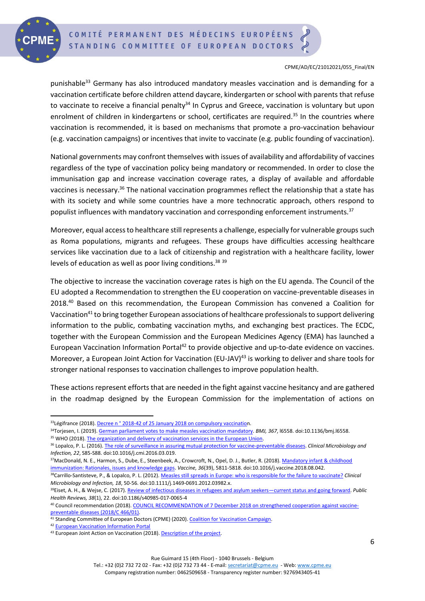

punishable<sup>33</sup> Germany has also introduced mandatory measles vaccination and is demanding for a vaccination certificate before children attend daycare, kindergarten or school with parents that refuse to vaccinate to receive a financial penalty<sup>34</sup> In Cyprus and Greece, vaccination is voluntary but upon enrolment of children in kindergartens or school, certificates are required. <sup>35</sup> In the countries where vaccination is recommended, it is based on mechanisms that promote a pro-vaccination behaviour (e.g. vaccination campaigns) or incentives that invite to vaccinate (e.g. public founding of vaccination).

National governments may confront themselves with issues of availability and affordability of vaccines regardless of the type of vaccination policy being mandatory or recommended. In order to close the immunisation gap and increase vaccination coverage rates, a display of available and affordable vaccines is necessary.<sup>36</sup> The national vaccination programmes reflect the relationship that a state has with its society and while some countries have a more technocratic approach, others respond to populist influences with mandatory vaccination and corresponding enforcement instruments.<sup>37</sup>

Moreover, equal access to healthcare still represents a challenge, especially for vulnerable groups such as Roma populations, migrants and refugees. These groups have difficulties accessing healthcare services like vaccination due to a lack of citizenship and registration with a healthcare facility, lower levels of education as well as poor living conditions.<sup>38 39</sup>

The objective to increase the vaccination coverage rates is high on the EU agenda. The Council of the EU adopted a Recommendation to strengthen the EU cooperation on vaccine-preventable diseases in 2018. <sup>40</sup> Based on this recommendation, the European Commission has convened a Coalition for Vaccination<sup>41</sup> to bring together European associations of healthcare professionals to support delivering information to the public, combating vaccination myths, and exchanging best practices. The ECDC, together with the European Commission and the European Medicines Agency (EMA) has launched a European Vaccination Information Portal<sup>42</sup> to provide objective and up-to-date evidence on vaccines. Moreover, a European Joint Action for Vaccination (EU-JAV)<sup>43</sup> is working to deliver and share tools for stronger national responses to vaccination challenges to improve population health.

These actions represent efforts that are needed in the fight against vaccine hesitancy and are gathered in the roadmap designed by the European Commission for the implementation of actions on

<sup>42</sup> [European Vaccination Information Portal](https://vaccination-info.eu/en)

<sup>&</sup>lt;sup>33</sup>Légifrance (2018). Decree n° 2018-42 of 25 January 2018 on compulsory vaccination.

<sup>34</sup>Torjesen, I. (2019)[. German parliament votes to make measles vaccination mandatory.](https://www.bmj.com/content/367/bmj.l6558.full) *BMJ, 367*, l6558. doi:10.1136/bmj.l6558. 35 WHO (2018)[. The organization and delivery of vaccination services in the European Union.](https://ec.europa.eu/health/sites/health/files/vaccination/docs/2018_vaccine_services_en.pdf)

<sup>36</sup> Lopalco, P. L. (2016)[. The role of surveillance in assuring mutual protection for vaccine-preventable diseases.](https://www.sciencedirect.com/science/article/pii/S1198743X16300374) *Clinical Microbiology and Infection, 22*, S85-S88. doi:10.1016/j.cmi.2016.03.019.

<sup>37</sup>MacDonald, N. E., Harmon, S., Dube, E., Steenbeek, A., Crowcroft, N., Opel, D. J., Butler, R. (2018). Mandatory infant & childhood [immunization: Rationales, issues and knowledge gaps.](https://www.sciencedirect.com/science/article/pii/S0264410X1831171X) *Vaccine, 36*(39), 5811-5818. doi:10.1016/j.vaccine.2018.08.042.

<sup>38</sup>Carrillo-Santisteve, P., & Lopalco, P. L. (2012)[. Measles still spreads in Europe: who is responsible for the failure to vaccinate?](https://www.sciencedirect.com/science/article/pii/S1198743X14613616) *Clinical Microbiology and Infection, 18*, 50-56. doi:10.1111/j.1469-0691.2012.03982.x.

<sup>39</sup>Eiset, A. H., & Wejse, C. (2017)[. Review of infectious diseases in refugees and asylum seekers](https://publichealthreviews.biomedcentral.com/articles/10.1186/s40985-017-0065-4)—current status and going forward. *Public Health Reviews, 38*(1), 22. doi:10.1186/s40985-017-0065-4

<sup>&</sup>lt;sup>40</sup> Council recommendation (2018)[. COUNCIL RECOMMENDATION of 7 December 2018 on strengthened cooperation against vaccine](https://eur-lex.europa.eu/legal-content/EN/TXT/PDF/?uri=CELEX:32018H1228(01)&from=GA)[preventable diseases \(2018/C 466/01\).](https://eur-lex.europa.eu/legal-content/EN/TXT/PDF/?uri=CELEX:32018H1228(01)&from=GA)

<sup>41</sup> Standing Committee of European Doctors (CPME) (2020)[. Coalition for Vaccination Campaign.](https://www.cpme.eu/coalition-for-vaccination/)

<sup>43</sup> European Joint Action on Vaccination (2018)[. Description of the project.](https://eu-jav.com/the-project/)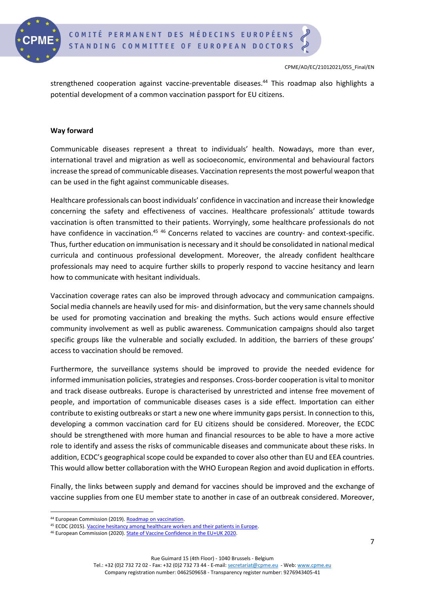

strengthened cooperation against vaccine-preventable diseases. <sup>44</sup> This roadmap also highlights a potential development of a common vaccination passport for EU citizens.

## **Way forward**

Communicable diseases represent a threat to individuals' health. Nowadays, more than ever, international travel and migration as well as socioeconomic, environmental and behavioural factors increase the spread of communicable diseases. Vaccination represents the most powerful weapon that can be used in the fight against communicable diseases.

Healthcare professionals can boost individuals' confidence in vaccination and increase their knowledge concerning the safety and effectiveness of vaccines. Healthcare professionals' attitude towards vaccination is often transmitted to their patients. Worryingly, some healthcare professionals do not have confidence in vaccination.<sup>45 46</sup> Concerns related to vaccines are country- and context-specific. Thus, further education on immunisation is necessary and itshould be consolidated in national medical curricula and continuous professional development. Moreover, the already confident healthcare professionals may need to acquire further skills to properly respond to vaccine hesitancy and learn how to communicate with hesitant individuals.

Vaccination coverage rates can also be improved through advocacy and communication campaigns. Social media channels are heavily used for mis- and disinformation, but the very same channels should be used for promoting vaccination and breaking the myths. Such actions would ensure effective community involvement as well as public awareness. Communication campaigns should also target specific groups like the vulnerable and socially excluded. In addition, the barriers of these groups' access to vaccination should be removed.

Furthermore, the surveillance systems should be improved to provide the needed evidence for informed immunisation policies, strategies and responses. Cross-border cooperation is vital to monitor and track disease outbreaks. Europe is characterised by unrestricted and intense free movement of people, and importation of communicable diseases cases is a side effect. Importation can either contribute to existing outbreaks or start a new one where immunity gaps persist. In connection to this, developing a common vaccination card for EU citizens should be considered. Moreover, the ECDC should be strengthened with more human and financial resources to be able to have a more active role to identify and assess the risks of communicable diseases and communicate about these risks. In addition, ECDC's geographical scope could be expanded to cover also other than EU and EEA countries. This would allow better collaboration with the WHO European Region and avoid duplication in efforts.

Finally, the links between supply and demand for vaccines should be improved and the exchange of vaccine supplies from one EU member state to another in case of an outbreak considered. Moreover,

<sup>44</sup> European Commission (2019)[. Roadmap on vaccination.](https://ec.europa.eu/health/sites/health/files/vaccination/docs/2019-2022_roadmap_en.pdf)

<sup>45</sup> ECDC (2015). [Vaccine hesitancy among healthcare workers and their patients in Europe.](https://www.ecdc.europa.eu/sites/default/files/media/en/publications/Publications/vaccine-hesitancy-among-healthcare-workers.pdf)

<sup>46</sup> European Commission (2020)[. State of Vaccine Confidence in the EU+UK 2020.](https://ec.europa.eu/health/sites/health/files/vaccination/docs/2020_confidence_rep_en.pdf)